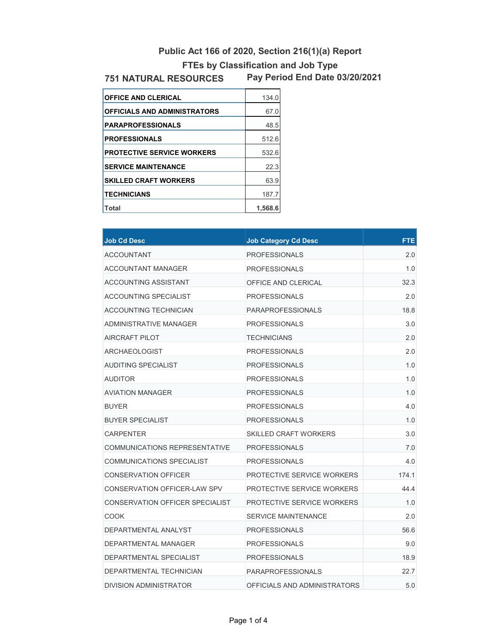## **FTEs by Classification and Job Type Public Act 166 of 2020, Section 216(1)(a) Report**

## **751 NATURAL RESOURCES**

**Pay Period End Date 03/20/2021**

| <b>OFFICE AND CLERICAL</b>          | 134.0   |
|-------------------------------------|---------|
| <b>OFFICIALS AND ADMINISTRATORS</b> | 67.0    |
| <b>PARAPROFESSIONALS</b>            | 48.5    |
| <b>PROFESSIONALS</b>                | 512.6   |
| <b>PROTECTIVE SERVICE WORKERS</b>   | 532.6   |
| <b>SERVICE MAINTENANCE</b>          | 22.3    |
| <b>SKILLED CRAFT WORKERS</b>        | 63.9    |
| <b>TECHNICIANS</b>                  | 187.7   |
| <b>Total</b>                        | 1,568.6 |

| <b>Job Cd Desc</b>              | <b>Job Category Cd Desc</b>  | <b>FTE</b> |
|---------------------------------|------------------------------|------------|
| <b>ACCOUNTANT</b>               | <b>PROFESSIONALS</b>         | 2.0        |
| <b>ACCOUNTANT MANAGER</b>       | <b>PROFESSIONALS</b>         | 1.0        |
| ACCOUNTING ASSISTANT            | OFFICE AND CLERICAL          | 32.3       |
| ACCOUNTING SPECIALIST           | <b>PROFESSIONALS</b>         | 2.0        |
| ACCOUNTING TECHNICIAN           | <b>PARAPROFESSIONALS</b>     | 18.8       |
| ADMINISTRATIVE MANAGER          | <b>PROFESSIONALS</b>         | 3.0        |
| AIRCRAFT PILOT                  | <b>TECHNICIANS</b>           | 2.0        |
| <b>ARCHAEOLOGIST</b>            | <b>PROFESSIONALS</b>         | 2.0        |
| <b>AUDITING SPECIALIST</b>      | <b>PROFESSIONALS</b>         | 1.0        |
| <b>AUDITOR</b>                  | <b>PROFESSIONALS</b>         | 1.0        |
| <b>AVIATION MANAGER</b>         | <b>PROFESSIONALS</b>         | 1.0        |
| <b>BUYER</b>                    | <b>PROFESSIONALS</b>         | 4.0        |
| <b>BUYER SPECIALIST</b>         | <b>PROFESSIONALS</b>         | 1.0        |
| <b>CARPENTER</b>                | <b>SKILLED CRAFT WORKERS</b> | 3.0        |
| COMMUNICATIONS REPRESENTATIVE   | <b>PROFESSIONALS</b>         | 7.0        |
| COMMUNICATIONS SPECIALIST       | <b>PROFESSIONALS</b>         | 4.0        |
| CONSERVATION OFFICER            | PROTECTIVE SERVICE WORKERS   | 174.1      |
| CONSERVATION OFFICER-LAW SPV    | PROTECTIVE SERVICE WORKERS   | 44.4       |
| CONSERVATION OFFICER SPECIALIST | PROTECTIVE SERVICE WORKERS   | 1.0        |
| COOK                            | <b>SERVICE MAINTENANCE</b>   | 2.0        |
| DEPARTMENTAL ANALYST            | <b>PROFESSIONALS</b>         | 56.6       |
| DEPARTMENTAL MANAGER            | <b>PROFESSIONALS</b>         | 9.0        |
| DEPARTMENTAL SPECIALIST         | <b>PROFESSIONALS</b>         | 18.9       |
| DEPARTMENTAL TECHNICIAN         | <b>PARAPROFESSIONALS</b>     | 22.7       |
| DIVISION ADMINISTRATOR          | OFFICIALS AND ADMINISTRATORS | 5.0        |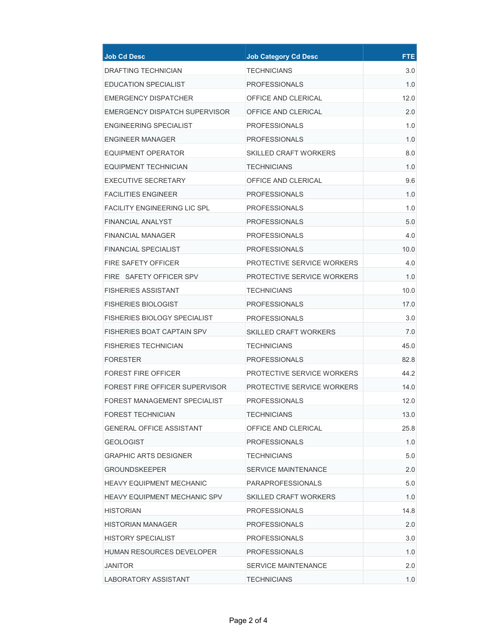| <b>Job Cd Desc</b>                  | <b>Job Category Cd Desc</b>       | <b>FTE</b> |
|-------------------------------------|-----------------------------------|------------|
| <b>DRAFTING TECHNICIAN</b>          | <b>TECHNICIANS</b>                | 3.0        |
| <b>EDUCATION SPECIALIST</b>         | <b>PROFESSIONALS</b>              | 1.0        |
| EMERGENCY DISPATCHER                | OFFICE AND CLERICAL               | 12.0       |
| EMERGENCY DISPATCH SUPERVISOR       | OFFICE AND CLERICAL               | 2.0        |
| ENGINEERING SPECIALIST              | <b>PROFESSIONALS</b>              | 1.0        |
| <b>ENGINEER MANAGER</b>             | <b>PROFESSIONALS</b>              | 1.0        |
| EQUIPMENT OPERATOR                  | <b>SKILLED CRAFT WORKERS</b>      | 8.0        |
| EQUIPMENT TECHNICIAN                | <b>TECHNICIANS</b>                | 1.0        |
| <b>EXECUTIVE SECRETARY</b>          | OFFICE AND CLERICAL               | 9.6        |
| <b>FACILITIES ENGINEER</b>          | <b>PROFESSIONALS</b>              | 1.0        |
| <b>FACILITY ENGINEERING LIC SPL</b> | <b>PROFESSIONALS</b>              | 1.0        |
| <b>FINANCIAL ANALYST</b>            | <b>PROFESSIONALS</b>              | 5.0        |
| <b>FINANCIAL MANAGER</b>            | <b>PROFESSIONALS</b>              | 4.0        |
| <b>FINANCIAL SPECIALIST</b>         | <b>PROFESSIONALS</b>              | 10.0       |
| <b>FIRE SAFETY OFFICER</b>          | PROTECTIVE SERVICE WORKERS        | 4.0        |
| FIRE SAFETY OFFICER SPV             | PROTECTIVE SERVICE WORKERS        | 1.0        |
| <b>FISHERIES ASSISTANT</b>          | <b>TECHNICIANS</b>                | 10.0       |
| <b>FISHERIES BIOLOGIST</b>          | <b>PROFESSIONALS</b>              | 17.0       |
| <b>FISHERIES BIOLOGY SPECIALIST</b> | <b>PROFESSIONALS</b>              | 3.0        |
| FISHERIES BOAT CAPTAIN SPV          | <b>SKILLED CRAFT WORKERS</b>      | 7.0        |
| <b>FISHERIES TECHNICIAN</b>         | <b>TECHNICIANS</b>                | 45.0       |
| <b>FORESTER</b>                     | <b>PROFESSIONALS</b>              | 82.8       |
| <b>FOREST FIRE OFFICER</b>          | <b>PROTECTIVE SERVICE WORKERS</b> | 44.2       |
| FOREST FIRE OFFICER SUPERVISOR      | PROTECTIVE SERVICE WORKERS        | 14.0       |
| FOREST MANAGEMENT SPECIALIST        | <b>PROFESSIONALS</b>              | 12.0       |
| FOREST TECHNICIAN                   | <b>TECHNICIANS</b>                | 13.0       |
| <b>GENERAL OFFICE ASSISTANT</b>     | OFFICE AND CLERICAL               | 25.8       |
| GEOLOGIST                           | <b>PROFESSIONALS</b>              | 1.0        |
| <b>GRAPHIC ARTS DESIGNER</b>        | <b>TECHNICIANS</b>                | 5.0        |
| <b>GROUNDSKEEPER</b>                | <b>SERVICE MAINTENANCE</b>        | 2.0        |
| HEAVY EQUIPMENT MECHANIC            | <b>PARAPROFESSIONALS</b>          | 5.0        |
| <b>HEAVY EQUIPMENT MECHANIC SPV</b> | <b>SKILLED CRAFT WORKERS</b>      | 1.0        |
| HISTORIAN                           | <b>PROFESSIONALS</b>              | 14.8       |
| HISTORIAN MANAGER                   | <b>PROFESSIONALS</b>              | 2.0        |
| <b>HISTORY SPECIALIST</b>           | <b>PROFESSIONALS</b>              | 3.0        |
| HUMAN RESOURCES DEVELOPER           | <b>PROFESSIONALS</b>              | 1.0        |
| <b>JANITOR</b>                      | <b>SERVICE MAINTENANCE</b>        | 2.0        |
| LABORATORY ASSISTANT                | <b>TECHNICIANS</b>                | 1.0        |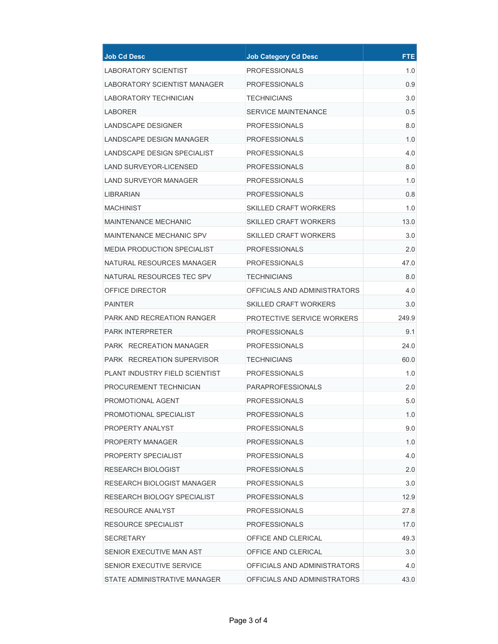| <b>Job Cd Desc</b>                | <b>Job Category Cd Desc</b>  | <b>FTE</b> |
|-----------------------------------|------------------------------|------------|
| <b>LABORATORY SCIENTIST</b>       | <b>PROFESSIONALS</b>         | 1.0        |
| LABORATORY SCIENTIST MANAGER      | <b>PROFESSIONALS</b>         | 0.9        |
| LABORATORY TECHNICIAN             | TECHNICIANS                  | 3.0        |
| LABORER                           | <b>SERVICE MAINTENANCE</b>   | 0.5        |
| LANDSCAPE DESIGNER                | <b>PROFESSIONALS</b>         | 8.0        |
| <b>LANDSCAPE DESIGN MANAGER</b>   | <b>PROFESSIONALS</b>         | 1.0        |
| LANDSCAPE DESIGN SPECIALIST       | <b>PROFESSIONALS</b>         | 4.0        |
| LAND SURVEYOR-LICENSED            | <b>PROFESSIONALS</b>         | 8.0        |
| <b>LAND SURVEYOR MANAGER</b>      | <b>PROFESSIONALS</b>         | 1.0        |
| LIBRARIAN                         | <b>PROFESSIONALS</b>         | 0.8        |
| MACHINIST                         | <b>SKILLED CRAFT WORKERS</b> | 1.0        |
| <b>MAINTENANCE MECHANIC</b>       | <b>SKILLED CRAFT WORKERS</b> | 13.0       |
| MAINTENANCE MECHANIC SPV          | SKILLED CRAFT WORKERS        | 3.0        |
| MEDIA PRODUCTION SPECIALIST       | <b>PROFESSIONALS</b>         | 2.0        |
| NATURAL RESOURCES MANAGER         | PROFESSIONALS                | 47.0       |
| NATURAL RESOURCES TEC SPV         | TECHNICIANS                  | 8.0        |
| OFFICE DIRECTOR                   | OFFICIALS AND ADMINISTRATORS | 4.0        |
| <b>PAINTER</b>                    | <b>SKILLED CRAFT WORKERS</b> | 3.0        |
| PARK AND RECREATION RANGER        | PROTECTIVE SERVICE WORKERS   | 249.9      |
| <b>PARK INTERPRETER</b>           | <b>PROFESSIONALS</b>         | 9.1        |
| PARK RECREATION MANAGER           | <b>PROFESSIONALS</b>         | 24.0       |
| <b>PARK RECREATION SUPERVISOR</b> | <b>TECHNICIANS</b>           | 60.0       |
| PLANT INDUSTRY FIELD SCIENTIST    | <b>PROFESSIONALS</b>         | 1.0        |
| PROCUREMENT TECHNICIAN            | <b>PARAPROFESSIONALS</b>     | 2.0        |
| PROMOTIONAL AGENT                 | PROFESSIONALS                | 5.0        |
| PROMOTIONAL SPECIALIST            | <b>PROFESSIONALS</b>         | 1.0        |
| PROPERTY ANALYST                  | <b>PROFESSIONALS</b>         | 9.0        |
| PROPERTY MANAGER                  | <b>PROFESSIONALS</b>         | 1.0        |
| PROPERTY SPECIALIST               | PROFESSIONALS                | 4.0        |
| RESEARCH BIOLOGIST                | <b>PROFESSIONALS</b>         | 2.0        |
| <b>RESEARCH BIOLOGIST MANAGER</b> | <b>PROFESSIONALS</b>         | 3.0        |
| RESEARCH BIOLOGY SPECIALIST       | <b>PROFESSIONALS</b>         | 12.9       |
| RESOURCE ANALYST                  | <b>PROFESSIONALS</b>         | 27.8       |
| RESOURCE SPECIALIST               | <b>PROFESSIONALS</b>         | 17.0       |
| SECRETARY                         | OFFICE AND CLERICAL          | 49.3       |
| SENIOR EXECUTIVE MAN AST          | OFFICE AND CLERICAL          | 3.0        |
| SENIOR EXECUTIVE SERVICE          | OFFICIALS AND ADMINISTRATORS | 4.0        |
| STATE ADMINISTRATIVE MANAGER      | OFFICIALS AND ADMINISTRATORS | 43.0       |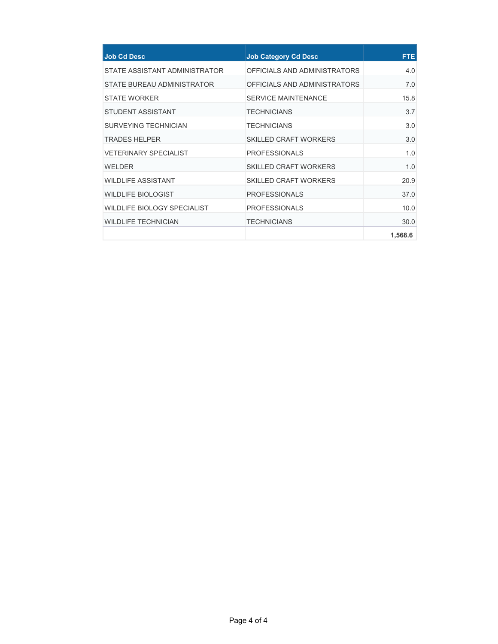| <b>Job Cd Desc</b>                 | <b>Job Category Cd Desc</b>  | <b>FTE</b> |
|------------------------------------|------------------------------|------------|
| STATE ASSISTANT ADMINISTRATOR      | OFFICIALS AND ADMINISTRATORS | 4.0        |
| STATE BUREAU ADMINISTRATOR         | OFFICIALS AND ADMINISTRATORS | 7.0        |
| <b>STATE WORKER</b>                | <b>SERVICE MAINTENANCE</b>   | 15.8       |
| <b>STUDENT ASSISTANT</b>           | <b>TECHNICIANS</b>           | 3.7        |
| SURVEYING TECHNICIAN               | <b>TECHNICIANS</b>           | 3.0        |
| <b>TRADES HELPER</b>               | <b>SKILLED CRAFT WORKERS</b> | 3.0        |
| <b>VETERINARY SPECIALIST</b>       | <b>PROFESSIONALS</b>         | 1.0        |
| WELDER                             | <b>SKILLED CRAFT WORKERS</b> | 1.0        |
| <b>WILDLIFE ASSISTANT</b>          | <b>SKILLED CRAFT WORKERS</b> | 20.9       |
| <b>WILDLIFE BIOLOGIST</b>          | <b>PROFESSIONALS</b>         | 37.0       |
| <b>WILDLIFE BIOLOGY SPECIALIST</b> | <b>PROFESSIONALS</b>         | 10.0       |
| <b>WILDLIFE TECHNICIAN</b>         | <b>TECHNICIANS</b>           | 30.0       |
|                                    |                              | 1,568.6    |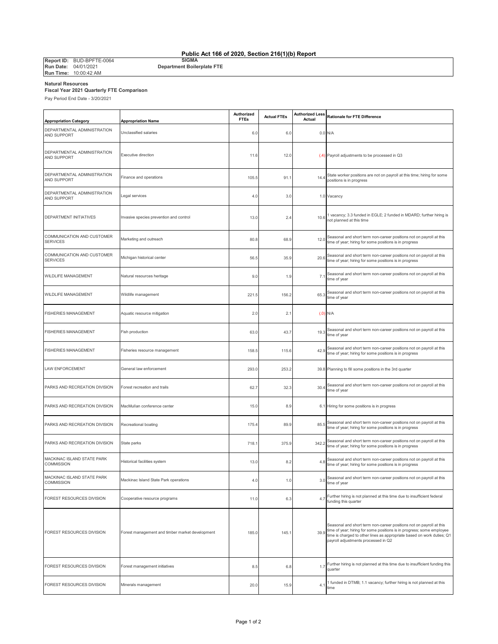**Public Act 166 of 2020, Section 216(1)(b) Report**

**Report ID:** BUD-BPFTE-0064<br>**Run Date:** 04/01/2021<br>**Run Time:** 10:00:42 AM

**SIGMA Department Boilerplate FTE**

**Natural Resources Fiscal Year 2021 Quarterly FTE Comparison**

Pay Period End Date - 3/20/2021

| <b>Appropriation Category</b>                     | <b>Appropriation Name</b>                       | Authorized<br><b>FTEs</b> | <b>Actual FTEs</b> | Authorized Less<br>Actual | <b>Rationale for FTE Difference</b>                                                                                                                                                                                                                           |
|---------------------------------------------------|-------------------------------------------------|---------------------------|--------------------|---------------------------|---------------------------------------------------------------------------------------------------------------------------------------------------------------------------------------------------------------------------------------------------------------|
| DEPARTMENTAL ADMINISTRATION<br><b>AND SUPPORT</b> | Unclassified salaries                           | 6.0                       | 6.0                |                           | 0.0 N/A                                                                                                                                                                                                                                                       |
| DEPARTMENTAL ADMINISTRATION<br>AND SUPPORT        | <b>Executive direction</b>                      | 11.6                      | 12.0               |                           | (.4) Payroll adjustments to be processed in Q3                                                                                                                                                                                                                |
| DEPARTMENTAL ADMINISTRATION<br>AND SUPPORT        | Finance and operations                          | 105.5                     | 91.1               | 14.4                      | State worker positions are not on payroll at this time; hiring for some<br>positions is in progress                                                                                                                                                           |
| DEPARTMENTAL ADMINISTRATION<br><b>AND SUPPORT</b> | Legal services                                  | 4.0                       | 3.0                |                           | 1.0 Vacancy                                                                                                                                                                                                                                                   |
| DEPARTMENT INITIATIVES                            | Invasive species prevention and control         | 13.0                      | 2.4                | 10.6                      | 1 vacancy; 3.3 funded in EGLE; 2 funded in MDARD; further hiring is<br>not planned at this time                                                                                                                                                               |
| COMMUNICATION AND CUSTOMER<br><b>SERVICES</b>     | Marketing and outreach                          | 80.8                      | 68.9               | 12.0                      | Seasonal and short term non-career positions not on payroll at this<br>time of year; hiring for some positions is in progress                                                                                                                                 |
| COMMUNICATION AND CUSTOMER<br>SERVICES            | Michigan historical center                      | 56.5                      | 35.9               | 20.6                      | Seasonal and short term non-career positions not on payroll at this<br>time of year; hiring for some positions is in progress                                                                                                                                 |
| WILDLIFE MANAGEMENT                               | Natural resources heritage                      | 9.0                       | 1.9                | 7.1                       | Seasonal and short term non-career positions not on payroll at this<br>time of year                                                                                                                                                                           |
| <b>WILDLIFE MANAGEMENT</b>                        | Wildlife management                             | 221.5                     | 156.2              | 65.3                      | Seasonal and short term non-career positions not on payroll at this<br>time of year                                                                                                                                                                           |
| <b>ISHERIES MANAGEMENT</b>                        | Aquatic resource mitigation                     | 2.0                       | 2.1                |                           | $(.0)$ N/A                                                                                                                                                                                                                                                    |
| FISHERIES MANAGEMENT                              | Fish production                                 | 63.0                      | 43.7               | 19.3                      | Seasonal and short term non-career positions not on payroll at this<br>time of year                                                                                                                                                                           |
| FISHERIES MANAGEMENT                              | Fisheries resource management                   | 158.5                     | 115.6              | 42.9                      | Seasonal and short term non-career positions not on payroll at this<br>time of year; hiring for some positions is in progress                                                                                                                                 |
| AW ENFORCEMENT                                    | General law enforcement                         | 293.0                     | 253.2              |                           | 39.8 Planning to fill some positions in the 3rd quarter                                                                                                                                                                                                       |
| PARKS AND RECREATION DIVISION                     | Forest recreation and trails                    | 62.7                      | 32.3               | 30.4                      | Seasonal and short term non-career positions not on payroll at this<br>time of year                                                                                                                                                                           |
| PARKS AND RECREATION DIVISION                     | MacMullan conference center                     | 15.0                      | 8.9                |                           | 6.1 Hiring for some positions is in progress                                                                                                                                                                                                                  |
| PARKS AND RECREATION DIVISION                     | Recreational boating                            | 175.4                     | 89.9               | 85.5                      | Seasonal and short term non-career positions not on payroll at this<br>time of year; hiring for some positions is in progress                                                                                                                                 |
| PARKS AND RECREATION DIVISION                     | State parks                                     | 718.1                     | 375.9              | 342.2                     | Seasonal and short term non-career positions not on payroll at this<br>time of year; hiring for some positions is in progress                                                                                                                                 |
| MACKINAC ISLAND STATE PARK<br><b>COMMISSION</b>   | Historical facilities system                    | 13.0                      | 8.2                | 4.8                       | Seasonal and short term non-career positions not on payroll at this<br>time of year; hiring for some positions is in progress                                                                                                                                 |
| MACKINAC ISLAND STATE PARK<br>COMMISSION          | Mackinac Island State Park operations           | 4.0                       | 1.0                | 3.0                       | Seasonal and short term non-career positions not on payroll at this<br>time of year                                                                                                                                                                           |
| OREST RESOURCES DIVISION                          | Cooperative resource programs                   | 11.0                      | 6.3                | 4.7                       | Further hiring is not planned at this time due to insufficient federal<br>funding this quarter                                                                                                                                                                |
| FOREST RESOURCES DIVISION                         | Forest management and timber market development | 185.0                     | 145.1              | 39.9                      | Seasonal and short term non-career positions not on payroll at this<br>time of year; hiring for some positions is in progress; some employee<br>time is charged to other lines as appropriate based on work duties; Q1<br>payroll adjustments processed in Q2 |
| OREST RESOURCES DIVISION                          | Forest management initiatives                   | 8.5                       | 6.8                | 1.7                       | Further hiring is not planned at this time due to insufficient funding this<br>quarter                                                                                                                                                                        |
| FOREST RESOURCES DIVISION                         | Minerals management                             | 20.0                      | 15.9               | 4.1                       | 1 funded in DTMB; 1.1 vacancy; further hiring is not planned at this<br>time                                                                                                                                                                                  |